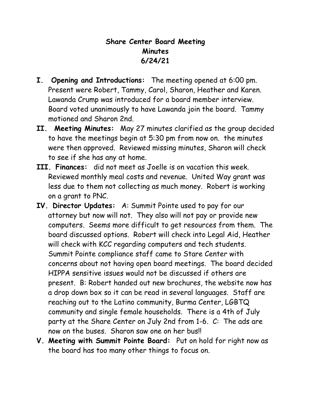## **Share Center Board Meeting Minutes 6/24/21**

- **I. Opening and Introductions:** The meeting opened at 6:00 pm. Present were Robert, Tammy, Carol, Sharon, Heather and Karen. Lawanda Crump was introduced for a board member interview. Board voted unanimously to have Lawanda join the board. Tammy motioned and Sharon 2nd.
- **II. Meeting Minutes:** May 27 minutes clarified as the group decided to have the meetings begin at 5:30 pm from now on. the minutes were then approved. Reviewed missing minutes, Sharon will check to see if she has any at home.
- **III. Finances:** did not meet as Joelle is on vacation this week. Reviewed monthly meal costs and revenue. United Way grant was less due to them not collecting as much money. Robert is working on a grant to PNC.
- **IV. Director Updates:** A: Summit Pointe used to pay for our attorney but now will not. They also will not pay or provide new computers. Seems more difficult to get resources from them. The board discussed options. Robert will check into Legal Aid, Heather will check with KCC regarding computers and tech students. Summit Pointe compliance staff came to Stare Center with concerns about not having open board meetings. The board decided HIPPA sensitive issues would not be discussed if others are present. B: Robert handed out new brochures, the website now has a drop down box so it can be read in several languages. Staff are reaching out to the Latino community, Burma Center, LGBTQ community and single female households. There is a 4th of July party at the Share Center on July 2nd from 1-6. C: The ads are now on the buses. Sharon saw one on her bus!!
- **V. Meeting with Summit Pointe Board:** Put on hold for right now as the board has too many other things to focus on.